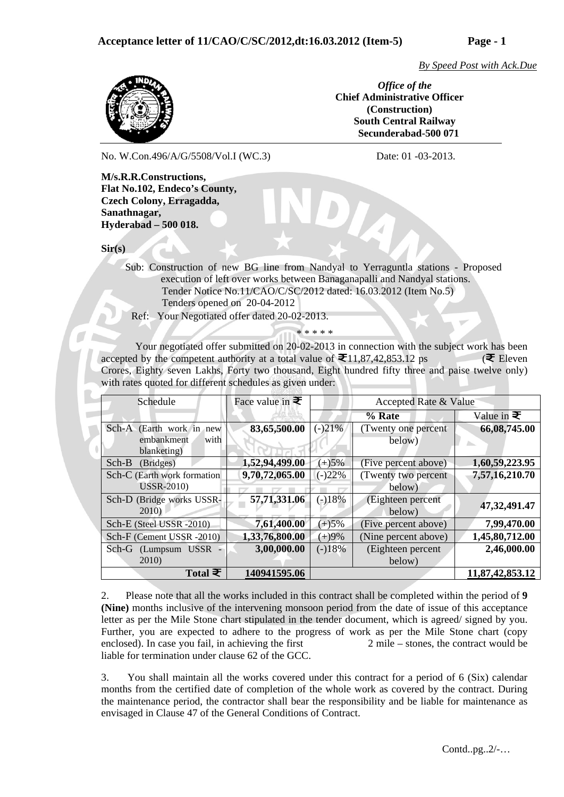*By Speed Post with Ack.Due*



*Office of the*  **Chief Administrative Officer (Construction) South Central Railway Secunderabad-500 071**

No. W.Con.496/A/G/5508/Vol.I (WC.3) Date: 01 -03-2013.

**M/s.R.R.Constructions, Flat No.102, Endeco's County, Czech Colony, Erragadda, Sanathnagar, Hyderabad – 500 018.** 

**Sir(s)** 

 Sub: Construction of new BG line from Nandyal to Yerraguntla stations - Proposed execution of left over works between Banaganapalli and Nandyal stations. Tender Notice No.11/CAO/C/SC/2012 dated: 16.03.2012 (Item No.5) Tenders opened on 20-04-2012

Ref: Your Negotiated offer dated 20-02-2013.

Your negotiated offer submitted on 20-02-2013 in connection with the subject work has been accepted by the competent authority at a total value of  $\Xi$ 11,87,42,853.12 ps ( $\Xi$  Eleven Crores, Eighty seven Lakhs, Forty two thousand, Eight hundred fifty three and paise twelve only) with rates quoted for different schedules as given under:

\* \* \* \* \*

| Schedule                                                      | Face value in $\mathbf{\bar{\pm}}$ |          | Accepted Rate & Value         |                   |
|---------------------------------------------------------------|------------------------------------|----------|-------------------------------|-------------------|
|                                                               |                                    |          | % Rate                        | Value in $\equiv$ |
| Sch-A (Earth work in new<br>with<br>embankment<br>blanketing) | 83,65,500.00                       | $(-)21%$ | (Twenty one percent<br>below) | 66,08,745.00      |
| Sch-B<br>(Bridges)                                            | 1,52,94,499.00                     | $(+)5%$  | (Five percent above)          | 1,60,59,223.95    |
| Sch-C (Earth work formation<br><b>USSR-2010)</b>              | 9,70,72,065.00                     | $(-)22%$ | (Twenty two percent<br>below) | 7,57,16,210.70    |
| Sch-D (Bridge works USSR-<br>2010)                            | 57,71,331.06                       | $(-)18%$ | (Eighteen percent<br>below)   | 47,32,491.47      |
| Sch-E (Steel USSR -2010)                                      | 7,61,400.00                        | $(+)5%$  | (Five percent above)          | 7,99,470.00       |
| Sch-F (Cement USSR -2010)                                     | 1,33,76,800.00                     | $(+)9%$  | (Nine percent above)          | 1,45,80,712.00    |
| Sch-G<br>(Lumpsum USSR -<br>2010)                             | 3,00,000.00                        | $(-)18%$ | (Eighteen percent<br>below)   | 2,46,000.00       |
| Total $\bar{z}$                                               | 140941595.06                       |          |                               | 11,87,42,853.12   |

2. Please note that all the works included in this contract shall be completed within the period of **9 (Nine)** months inclusive of the intervening monsoon period from the date of issue of this acceptance letter as per the Mile Stone chart stipulated in the tender document, which is agreed/ signed by you. Further, you are expected to adhere to the progress of work as per the Mile Stone chart (copy enclosed). In case you fail, in achieving the first 2 mile – stones, the contract would be liable for termination under clause 62 of the GCC.

3. You shall maintain all the works covered under this contract for a period of 6 (Six) calendar months from the certified date of completion of the whole work as covered by the contract. During the maintenance period, the contractor shall bear the responsibility and be liable for maintenance as envisaged in Clause 47 of the General Conditions of Contract.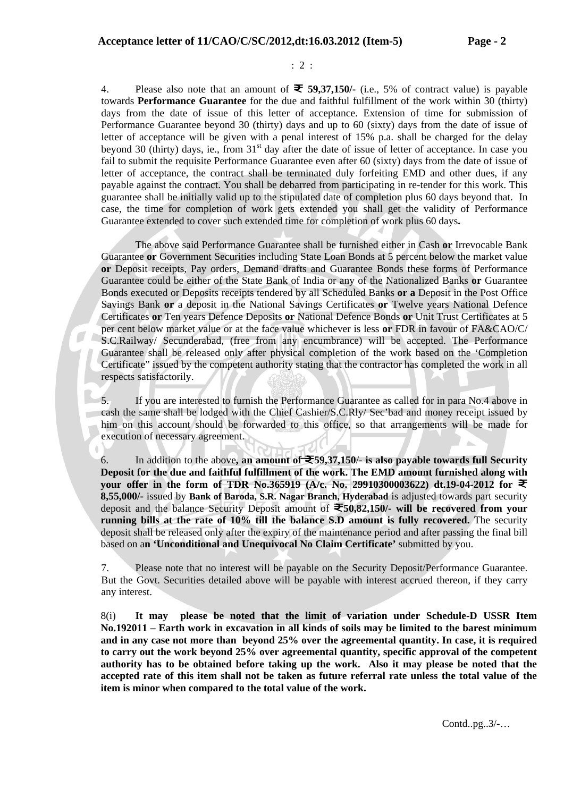: 2 :

4. Please also note that an amount of **59,37,150/-** (i.e., 5% of contract value) is payable towards **Performance Guarantee** for the due and faithful fulfillment of the work within 30 (thirty) days from the date of issue of this letter of acceptance. Extension of time for submission of Performance Guarantee beyond 30 (thirty) days and up to 60 (sixty) days from the date of issue of letter of acceptance will be given with a penal interest of 15% p.a. shall be charged for the delay beyond 30 (thirty) days, ie., from 31<sup>st</sup> day after the date of issue of letter of acceptance. In case you fail to submit the requisite Performance Guarantee even after 60 (sixty) days from the date of issue of letter of acceptance, the contract shall be terminated duly forfeiting EMD and other dues, if any payable against the contract. You shall be debarred from participating in re-tender for this work. This guarantee shall be initially valid up to the stipulated date of completion plus 60 days beyond that. In case, the time for completion of work gets extended you shall get the validity of Performance Guarantee extended to cover such extended time for completion of work plus 60 days**.**

The above said Performance Guarantee shall be furnished either in Cash **or** Irrevocable Bank Guarantee **or** Government Securities including State Loan Bonds at 5 percent below the market value **or** Deposit receipts, Pay orders, Demand drafts and Guarantee Bonds these forms of Performance Guarantee could be either of the State Bank of India or any of the Nationalized Banks **or** Guarantee Bonds executed or Deposits receipts tendered by all Scheduled Banks **or a** Deposit in the Post Office Savings Bank **or** a deposit in the National Savings Certificates **or** Twelve years National Defence Certificates **or** Ten years Defence Deposits **or** National Defence Bonds **or** Unit Trust Certificates at 5 per cent below market value or at the face value whichever is less **or** FDR in favour of FA&CAO/C/ S.C.Railway/ Secunderabad, (free from any encumbrance) will be accepted. The Performance Guarantee shall be released only after physical completion of the work based on the 'Completion Certificate" issued by the competent authority stating that the contractor has completed the work in all respects satisfactorily.

5. If you are interested to furnish the Performance Guarantee as called for in para No.4 above in cash the same shall be lodged with the Chief Cashier/S.C.Rly/ Sec'bad and money receipt issued by him on this account should be forwarded to this office, so that arrangements will be made for execution of necessary agreement.

6. In addition to the above, an amount of  $\bar{\equiv} 59,37,150/4$  is also payable towards full Security **Deposit for the due and faithful fulfillment of the work. The EMD amount furnished along with your offer in the form of TDR No.365919 (A/c. No. 29910300003622) dt.19-04-2012 for 8,55,000/-** issued by **Bank of Baroda, S.R. Nagar Branch, Hyderabad** is adjusted towards part security deposit and the balance Security Deposit amount of **50,82,150/- will be recovered from your running bills at the rate of 10% till the balance S.D amount is fully recovered.** The security deposit shall be released only after the expiry of the maintenance period and after passing the final bill based on a**n 'Unconditional and Unequivocal No Claim Certificate'** submitted by you.

7. Please note that no interest will be payable on the Security Deposit/Performance Guarantee. But the Govt. Securities detailed above will be payable with interest accrued thereon, if they carry any interest.

8(i) **It may please be noted that the limit of variation under Schedule-D USSR Item No.192011 – Earth work in excavation in all kinds of soils may be limited to the barest minimum and in any case not more than beyond 25% over the agreemental quantity. In case, it is required to carry out the work beyond 25% over agreemental quantity, specific approval of the competent authority has to be obtained before taking up the work. Also it may please be noted that the accepted rate of this item shall not be taken as future referral rate unless the total value of the item is minor when compared to the total value of the work.** 

Contd..pg..3/-…